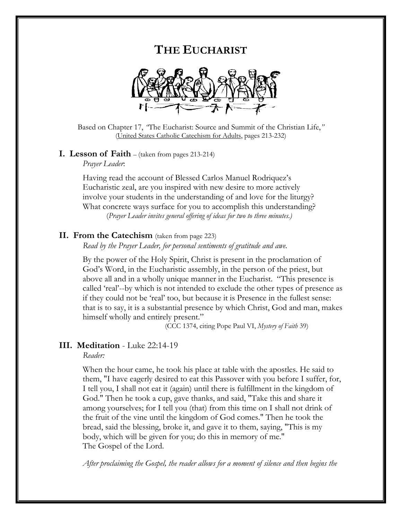# **THE EUCHARIST**



Based on Chapter 17, *"*The Eucharist: Source and Summit of the Christian Life,*"* (United States Catholic Catechism for Adults, pages 213-232)

# **I. Lesson of Faith** – (taken from pages 213-214)

*Prayer Leader*:

Having read the account of Blessed Carlos Manuel Rodriquez's Eucharistic zeal, are you inspired with new desire to more actively involve your students in the understanding of and love for the liturgy? What concrete ways surface for you to accomplish this understanding? (*Prayer Leader invites general offering of ideas for two to three minutes.)* 

### **II. From the Catechism** (taken from page 223)

*Read by the Prayer Leader, for personal sentiments of gratitude and awe.*

 By the power of the Holy Spirit, Christ is present in the proclamation of God's Word, in the Eucharistic assembly, in the person of the priest, but above all and in a wholly unique manner in the Eucharist. "This presence is called 'real'--by which is not intended to exclude the other types of presence as if they could not be 'real' too, but because it is Presence in the fullest sense: that is to say, it is a substantial presence by which Christ, God and man, makes himself wholly and entirely present." (CCC 1374, citing Pope Paul VI, *Mystery of Faith* 39)

## **III. Meditation** - Luke 22:14-19

*Reader:* 

When the hour came, he took his place at table with the apostles. He said to them, "I have eagerly desired to eat this Passover with you before I suffer, for, I tell you, I shall not eat it (again) until there is fulfillment in the kingdom of God." Then he took a cup, gave thanks, and said, "Take this and share it among yourselves; for I tell you (that) from this time on I shall not drink of the fruit of the vine until the kingdom of God comes." Then he took the bread, said the blessing, broke it, and gave it to them, saying, "This is my body, which will be given for you; do this in memory of me." The Gospel of the Lord.

*After proclaiming the Gospel, the reader allows for a moment of silence and then begins the*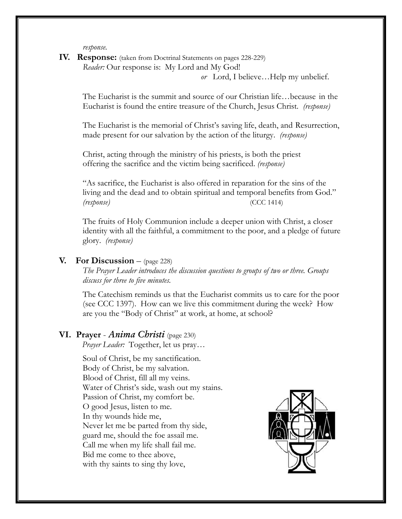*response.* 

**IV. Response:** (taken from Doctrinal Statements on pages 228-229) *Reader:* Our response is: My Lord and My God!

*or* Lord, I believe…Help my unbelief.

The Eucharist is the summit and source of our Christian life…because in the Eucharist is found the entire treasure of the Church, Jesus Christ*. (response)*

 The Eucharist is the memorial of Christ's saving life, death, and Resurrection, made present for our salvation by the action of the liturgy. *(response)*

 Christ, acting through the ministry of his priests, is both the priest offering the sacrifice and the victim being sacrificed. *(response)*

 "As sacrifice, the Eucharist is also offered in reparation for the sins of the living and the dead and to obtain spiritual and temporal benefits from God." *(response)* (CCC 1414)

 The fruits of Holy Communion include a deeper union with Christ, a closer identity with all the faithful, a commitment to the poor, and a pledge of future glory. *(response)*

## **V. For Discussion** – (page 228)

*The Prayer Leader introduces the discussion questions to groups of two or three. Groups discuss for three to five minutes.*

The Catechism reminds us that the Eucharist commits us to care for the poor (see CCC 1397). How can we live this commitment during the week? How are you the "Body of Christ" at work, at home, at school?

### **VI. Prayer** - *Anima Christi* (page 230)

*Prayer Leader:* Together, let us pray…

Soul of Christ, be my sanctification. Body of Christ, be my salvation. Blood of Christ, fill all my veins. Water of Christ's side, wash out my stains. Passion of Christ, my comfort be. O good Jesus, listen to me. In thy wounds hide me, Never let me be parted from thy side, guard me, should the foe assail me. Call me when my life shall fail me. Bid me come to thee above, with thy saints to sing thy love,